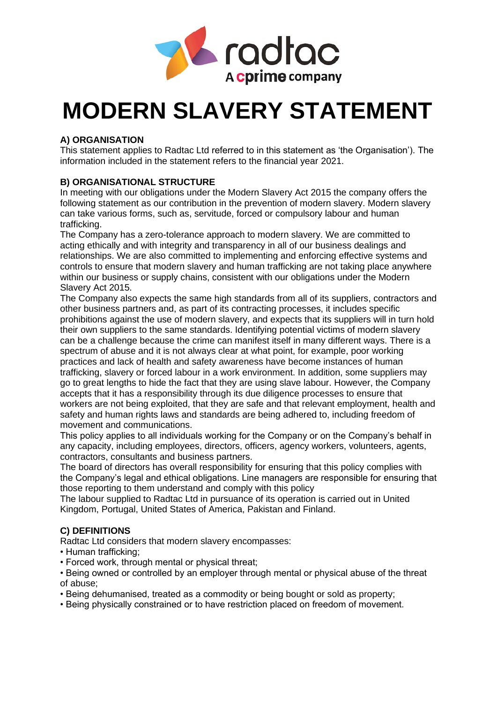

# **MODERN SLAVERY STATEMENT**

# **A) ORGANISATION**

This statement applies to Radtac Ltd referred to in this statement as 'the Organisation'). The information included in the statement refers to the financial year 2021.

# **B) ORGANISATIONAL STRUCTURE**

In meeting with our obligations under the Modern Slavery Act 2015 the company offers the following statement as our contribution in the prevention of modern slavery. Modern slavery can take various forms, such as, servitude, forced or compulsory labour and human trafficking.

The Company has a zero-tolerance approach to modern slavery. We are committed to acting ethically and with integrity and transparency in all of our business dealings and relationships. We are also committed to implementing and enforcing effective systems and controls to ensure that modern slavery and human trafficking are not taking place anywhere within our business or supply chains, consistent with our obligations under the Modern Slavery Act 2015.

The Company also expects the same high standards from all of its suppliers, contractors and other business partners and, as part of its contracting processes, it includes specific prohibitions against the use of modern slavery, and expects that its suppliers will in turn hold their own suppliers to the same standards. Identifying potential victims of modern slavery can be a challenge because the crime can manifest itself in many different ways. There is a spectrum of abuse and it is not always clear at what point, for example, poor working practices and lack of health and safety awareness have become instances of human trafficking, slavery or forced labour in a work environment. In addition, some suppliers may go to great lengths to hide the fact that they are using slave labour. However, the Company accepts that it has a responsibility through its due diligence processes to ensure that workers are not being exploited, that they are safe and that relevant employment, health and safety and human rights laws and standards are being adhered to, including freedom of movement and communications.

This policy applies to all individuals working for the Company or on the Company's behalf in any capacity, including employees, directors, officers, agency workers, volunteers, agents, contractors, consultants and business partners.

The board of directors has overall responsibility for ensuring that this policy complies with the Company's legal and ethical obligations. Line managers are responsible for ensuring that those reporting to them understand and comply with this policy

The labour supplied to Radtac Ltd in pursuance of its operation is carried out in United Kingdom, Portugal, United States of America, Pakistan and Finland.

# **C) DEFINITIONS**

Radtac Ltd considers that modern slavery encompasses:

- Human trafficking;
- Forced work, through mental or physical threat;
- Being owned or controlled by an employer through mental or physical abuse of the threat of abuse;
- Being dehumanised, treated as a commodity or being bought or sold as property;
- Being physically constrained or to have restriction placed on freedom of movement.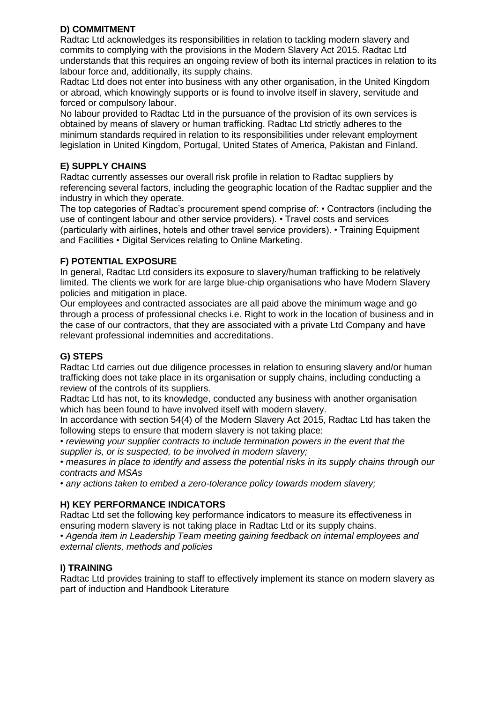# **D) COMMITMENT**

Radtac Ltd acknowledges its responsibilities in relation to tackling modern slavery and commits to complying with the provisions in the Modern Slavery Act 2015. Radtac Ltd understands that this requires an ongoing review of both its internal practices in relation to its labour force and, additionally, its supply chains.

Radtac Ltd does not enter into business with any other organisation, in the United Kingdom or abroad, which knowingly supports or is found to involve itself in slavery, servitude and forced or compulsory labour.

No labour provided to Radtac Ltd in the pursuance of the provision of its own services is obtained by means of slavery or human trafficking. Radtac Ltd strictly adheres to the minimum standards required in relation to its responsibilities under relevant employment legislation in United Kingdom, Portugal, United States of America, Pakistan and Finland.

### **E) SUPPLY CHAINS**

Radtac currently assesses our overall risk profile in relation to Radtac suppliers by referencing several factors, including the geographic location of the Radtac supplier and the industry in which they operate.

The top categories of Radtac's procurement spend comprise of: • Contractors (including the use of contingent labour and other service providers). • Travel costs and services (particularly with airlines, hotels and other travel service providers). • Training Equipment and Facilities • Digital Services relating to Online Marketing.

#### **F) POTENTIAL EXPOSURE**

In general, Radtac Ltd considers its exposure to slavery/human trafficking to be relatively limited. The clients we work for are large blue-chip organisations who have Modern Slavery policies and mitigation in place.

Our employees and contracted associates are all paid above the minimum wage and go through a process of professional checks i.e. Right to work in the location of business and in the case of our contractors, that they are associated with a private Ltd Company and have relevant professional indemnities and accreditations.

# **G) STEPS**

Radtac Ltd carries out due diligence processes in relation to ensuring slavery and/or human trafficking does not take place in its organisation or supply chains, including conducting a review of the controls of its suppliers.

Radtac Ltd has not, to its knowledge, conducted any business with another organisation which has been found to have involved itself with modern slavery.

In accordance with section 54(4) of the Modern Slavery Act 2015, Radtac Ltd has taken the following steps to ensure that modern slavery is not taking place:

• *reviewing your supplier contracts to include termination powers in the event that the supplier is, or is suspected, to be involved in modern slavery;* 

• *measures in place to identify and assess the potential risks in its supply chains through our contracts and MSAs* 

• *any actions taken to embed a zero-tolerance policy towards modern slavery;* 

# **H) KEY PERFORMANCE INDICATORS**

Radtac Ltd set the following key performance indicators to measure its effectiveness in ensuring modern slavery is not taking place in Radtac Ltd or its supply chains.

• *Agenda item in Leadership Team meeting gaining feedback on internal employees and external clients, methods and policies* 

# **I) TRAINING**

Radtac Ltd provides training to staff to effectively implement its stance on modern slavery as part of induction and Handbook Literature